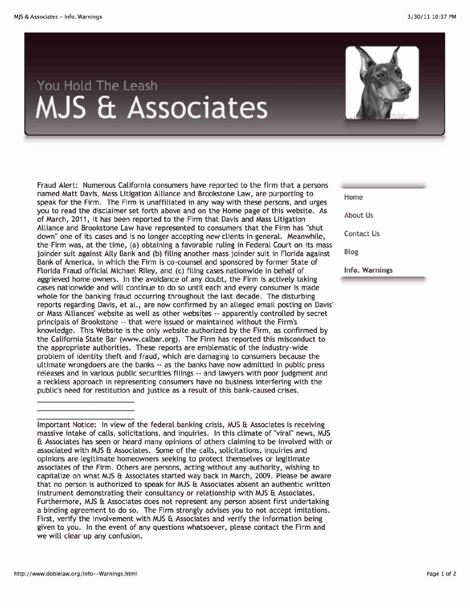## **You Hold The Leash • ~ •**



Important Notice: In view of the federal banking crisis, MJS & Associates is receiving massive intake of calls, solicitations, and inquiries. In this climate of "viral" news, MJS Et Associates has seen or heard many opinions of others claiming to be involved with or associated with MJS Et Associates. Some of the calls, solicitations, inquiries and opinions are legitimate homeowners seeking to protect themselves or legitimate associates of the Firm. Others are persons, acting without any authority, wishing to capitalize on what MJS & Associates started way back in March, 2009. Please be aware that no person is authorized to speak for MJS & Associates absent an authentic written instrument demonstrating their consultancy or relationship with MJS & Associates. Furthermore, MJS & Associates does not represent any person absent first undertaking a binding agreement to do so. The Firm strongly advises you to not accept imitations. First, verify the involvement with MJS  $E$  Associates and verify the information being given to you. In the event of any questions whatsoever, please contact the Firm and we will clear up any confusion.